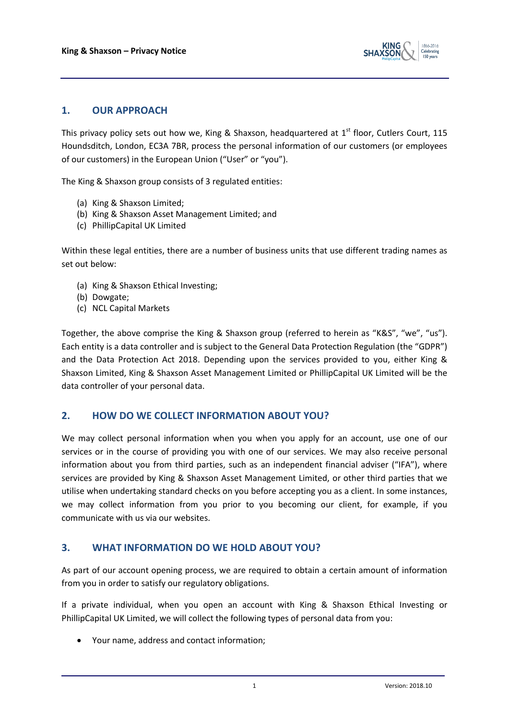

# **1. OUR APPROACH**

This privacy policy sets out how we, King & Shaxson, headquartered at  $1<sup>st</sup>$  floor, Cutlers Court, 115 Houndsditch, London, EC3A 7BR, process the personal information of our customers (or employees of our customers) in the European Union ("User" or "you").

The King & Shaxson group consists of 3 regulated entities:

- (a) King & Shaxson Limited;
- (b) King & Shaxson Asset Management Limited; and
- (c) PhillipCapital UK Limited

Within these legal entities, there are a number of business units that use different trading names as set out below:

- (a) King & Shaxson Ethical Investing;
- (b) Dowgate;
- (c) NCL Capital Markets

Together, the above comprise the King & Shaxson group (referred to herein as "K&S", "we", "us"). Each entity is a data controller and is subject to the General Data Protection Regulation (the "GDPR") and the Data Protection Act 2018. Depending upon the services provided to you, either King & Shaxson Limited, King & Shaxson Asset Management Limited or PhillipCapital UK Limited will be the data controller of your personal data.

## **2. HOW DO WE COLLECT INFORMATION ABOUT YOU?**

We may collect personal information when you when you apply for an account, use one of our services or in the course of providing you with one of our services. We may also receive personal information about you from third parties, such as an independent financial adviser ("IFA"), where services are provided by King & Shaxson Asset Management Limited, or other third parties that we utilise when undertaking standard checks on you before accepting you as a client. In some instances, we may collect information from you prior to you becoming our client, for example, if you communicate with us via our websites.

## **3. WHAT INFORMATION DO WE HOLD ABOUT YOU?**

As part of our account opening process, we are required to obtain a certain amount of information from you in order to satisfy our regulatory obligations.

If a private individual, when you open an account with King & Shaxson Ethical Investing or PhillipCapital UK Limited, we will collect the following types of personal data from you:

Your name, address and contact information;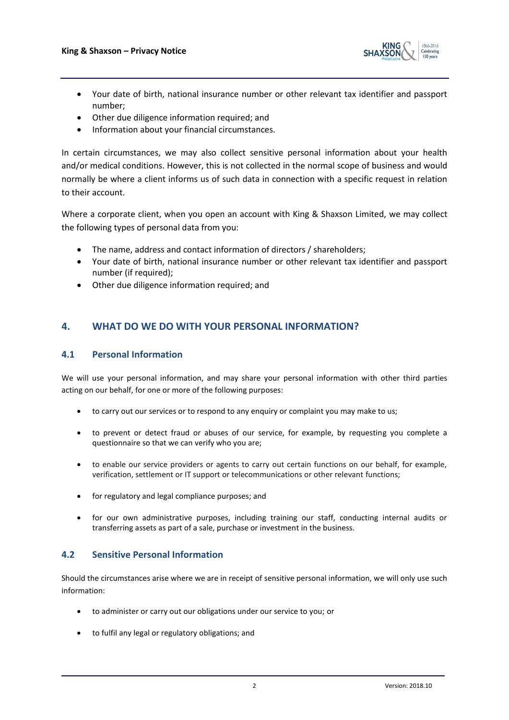

- Your date of birth, national insurance number or other relevant tax identifier and passport number;
- Other due diligence information required; and
- Information about your financial circumstances.

In certain circumstances, we may also collect sensitive personal information about your health and/or medical conditions. However, this is not collected in the normal scope of business and would normally be where a client informs us of such data in connection with a specific request in relation to their account.

Where a corporate client, when you open an account with King & Shaxson Limited, we may collect the following types of personal data from you:

- The name, address and contact information of directors / shareholders;
- Your date of birth, national insurance number or other relevant tax identifier and passport number (if required);
- Other due diligence information required; and

# **4. WHAT DO WE DO WITH YOUR PERSONAL INFORMATION?**

#### **4.1 Personal Information**

We will use your personal information, and may share your personal information with other third parties acting on our behalf, for one or more of the following purposes:

- to carry out our services or to respond to any enquiry or complaint you may make to us;
- to prevent or detect fraud or abuses of our service, for example, by requesting you complete a questionnaire so that we can verify who you are;
- to enable our service providers or agents to carry out certain functions on our behalf, for example, verification, settlement or IT support or telecommunications or other relevant functions;
- for regulatory and legal compliance purposes; and
- for our own administrative purposes, including training our staff, conducting internal audits or transferring assets as part of a sale, purchase or investment in the business.

## **4.2 Sensitive Personal Information**

Should the circumstances arise where we are in receipt of sensitive personal information, we will only use such information:

- to administer or carry out our obligations under our service to you; or
- to fulfil any legal or regulatory obligations; and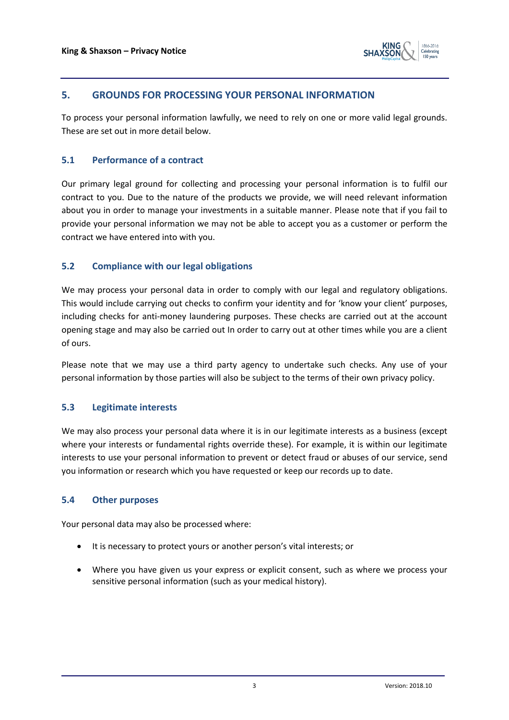

## **5. GROUNDS FOR PROCESSING YOUR PERSONAL INFORMATION**

To process your personal information lawfully, we need to rely on one or more valid legal grounds. These are set out in more detail below.

#### **5.1 Performance of a contract**

Our primary legal ground for collecting and processing your personal information is to fulfil our contract to you. Due to the nature of the products we provide, we will need relevant information about you in order to manage your investments in a suitable manner. Please note that if you fail to provide your personal information we may not be able to accept you as a customer or perform the contract we have entered into with you.

#### **5.2 Compliance with our legal obligations**

We may process your personal data in order to comply with our legal and regulatory obligations. This would include carrying out checks to confirm your identity and for 'know your client' purposes, including checks for anti-money laundering purposes. These checks are carried out at the account opening stage and may also be carried out In order to carry out at other times while you are a client of ours.

Please note that we may use a third party agency to undertake such checks. Any use of your personal information by those parties will also be subject to the terms of their own privacy policy.

#### **5.3 Legitimate interests**

We may also process your personal data where it is in our legitimate interests as a business (except where your interests or fundamental rights override these). For example, it is within our legitimate interests to use your personal information to prevent or detect fraud or abuses of our service, send you information or research which you have requested or keep our records up to date.

#### **5.4 Other purposes**

Your personal data may also be processed where:

- It is necessary to protect yours or another person's vital interests; or
- Where you have given us your express or explicit consent, such as where we process your sensitive personal information (such as your medical history).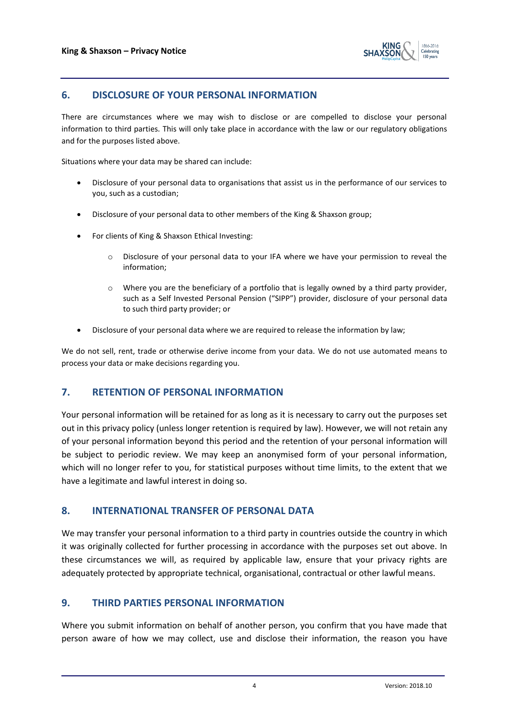

# **6. DISCLOSURE OF YOUR PERSONAL INFORMATION**

There are circumstances where we may wish to disclose or are compelled to disclose your personal information to third parties. This will only take place in accordance with the law or our regulatory obligations and for the purposes listed above.

Situations where your data may be shared can include:

- Disclosure of your personal data to organisations that assist us in the performance of our services to you, such as a custodian;
- Disclosure of your personal data to other members of the King & Shaxson group;
- For clients of King & Shaxson Ethical Investing:
	- o Disclosure of your personal data to your IFA where we have your permission to reveal the information;
	- $\circ$  Where you are the beneficiary of a portfolio that is legally owned by a third party provider, such as a Self Invested Personal Pension ("SIPP") provider, disclosure of your personal data to such third party provider; or
- Disclosure of your personal data where we are required to release the information by law;

We do not sell, rent, trade or otherwise derive income from your data. We do not use automated means to process your data or make decisions regarding you.

## **7. RETENTION OF PERSONAL INFORMATION**

Your personal information will be retained for as long as it is necessary to carry out the purposes set out in this privacy policy (unless longer retention is required by law). However, we will not retain any of your personal information beyond this period and the retention of your personal information will be subject to periodic review. We may keep an anonymised form of your personal information, which will no longer refer to you, for statistical purposes without time limits, to the extent that we have a legitimate and lawful interest in doing so.

## **8. INTERNATIONAL TRANSFER OF PERSONAL DATA**

We may transfer your personal information to a third party in countries outside the country in which it was originally collected for further processing in accordance with the purposes set out above. In these circumstances we will, as required by applicable law, ensure that your privacy rights are adequately protected by appropriate technical, organisational, contractual or other lawful means.

## **9. THIRD PARTIES PERSONAL INFORMATION**

Where you submit information on behalf of another person, you confirm that you have made that person aware of how we may collect, use and disclose their information, the reason you have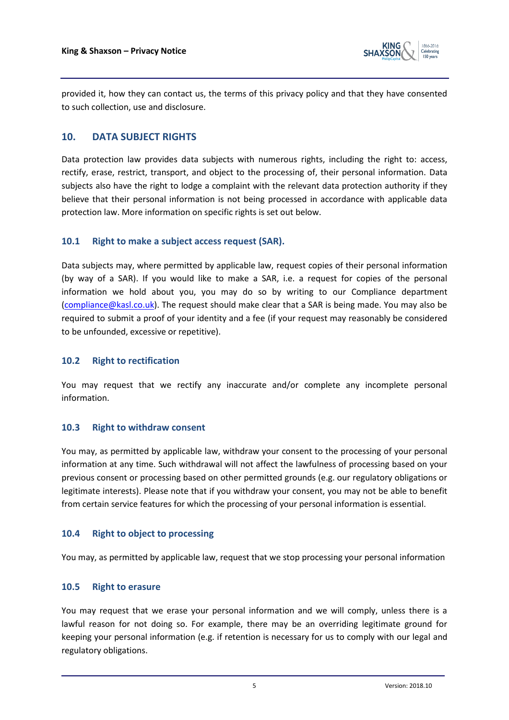

provided it, how they can contact us, the terms of this privacy policy and that they have consented to such collection, use and disclosure.

# **10. DATA SUBJECT RIGHTS**

Data protection law provides data subjects with numerous rights, including the right to: access, rectify, erase, restrict, transport, and object to the processing of, their personal information. Data subjects also have the right to lodge a complaint with the relevant data protection authority if they believe that their personal information is not being processed in accordance with applicable data protection law. More information on specific rights is set out below.

#### **10.1 Right to make a subject access request (SAR).**

Data subjects may, where permitted by applicable law, request copies of their personal information (by way of a SAR). If you would like to make a SAR, i.e. a request for copies of the personal information we hold about you, you may do so by writing to our Compliance department [\(compliance@kasl.co.uk\)](mailto:compliance@kasl.co.uk). The request should make clear that a SAR is being made. You may also be required to submit a proof of your identity and a fee (if your request may reasonably be considered to be unfounded, excessive or repetitive).

## **10.2 Right to rectification**

You may request that we rectify any inaccurate and/or complete any incomplete personal information.

## **10.3 Right to withdraw consent**

You may, as permitted by applicable law, withdraw your consent to the processing of your personal information at any time. Such withdrawal will not affect the lawfulness of processing based on your previous consent or processing based on other permitted grounds (e.g. our regulatory obligations or legitimate interests). Please note that if you withdraw your consent, you may not be able to benefit from certain service features for which the processing of your personal information is essential.

## **10.4 Right to object to processing**

You may, as permitted by applicable law, request that we stop processing your personal information

#### **10.5 Right to erasure**

You may request that we erase your personal information and we will comply, unless there is a lawful reason for not doing so. For example, there may be an overriding legitimate ground for keeping your personal information (e.g. if retention is necessary for us to comply with our legal and regulatory obligations.